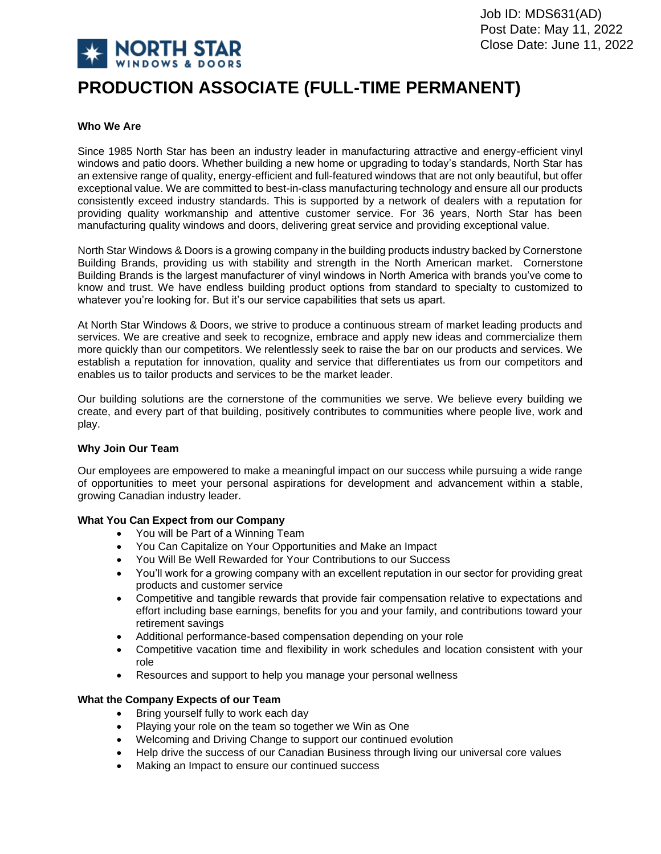

# **PRODUCTION ASSOCIATE (FULL-TIME PERMANENT)**

# **Who We Are**

Since 1985 North Star has been an industry leader in manufacturing attractive and energy-efficient vinyl windows and patio doors. Whether building a new home or upgrading to today's standards, North Star has an extensive range of quality, energy-efficient and full-featured windows that are not only beautiful, but offer exceptional value. We are committed to best-in-class manufacturing technology and ensure all our products consistently exceed industry standards. This is supported by a network of dealers with a reputation for providing quality workmanship and attentive customer service. For 36 years, North Star has been manufacturing quality windows and doors, delivering great service and providing exceptional value.

North Star Windows & Doors is a growing company in the building products industry backed by Cornerstone Building Brands, providing us with stability and strength in the North American market. Cornerstone Building Brands is the largest manufacturer of vinyl windows in North America with brands you've come to know and trust. We have endless building product options from standard to specialty to customized to whatever you're looking for. But it's our service capabilities that sets us apart.

At North Star Windows & Doors, we strive to produce a continuous stream of market leading products and services. We are creative and seek to recognize, embrace and apply new ideas and commercialize them more quickly than our competitors. We relentlessly seek to raise the bar on our products and services. We establish a reputation for innovation, quality and service that differentiates us from our competitors and enables us to tailor products and services to be the market leader.

Our building solutions are the cornerstone of the communities we serve. We believe every building we create, and every part of that building, positively contributes to communities where people live, work and play.

## **Why Join Our Team**

Our employees are empowered to make a meaningful impact on our success while pursuing a wide range of opportunities to meet your personal aspirations for development and advancement within a stable, growing Canadian industry leader.

## **What You Can Expect from our Company**

- You will be Part of a Winning Team
- You Can Capitalize on Your Opportunities and Make an Impact
- You Will Be Well Rewarded for Your Contributions to our Success
- You'll work for a growing company with an excellent reputation in our sector for providing great products and customer service
- Competitive and tangible rewards that provide fair compensation relative to expectations and effort including base earnings, benefits for you and your family, and contributions toward your retirement savings
- Additional performance-based compensation depending on your role
- Competitive vacation time and flexibility in work schedules and location consistent with your role
- Resources and support to help you manage your personal wellness

## **What the Company Expects of our Team**

- Bring yourself fully to work each day
- Playing your role on the team so together we Win as One
- Welcoming and Driving Change to support our continued evolution
- Help drive the success of our Canadian Business through living our universal core values
- Making an Impact to ensure our continued success